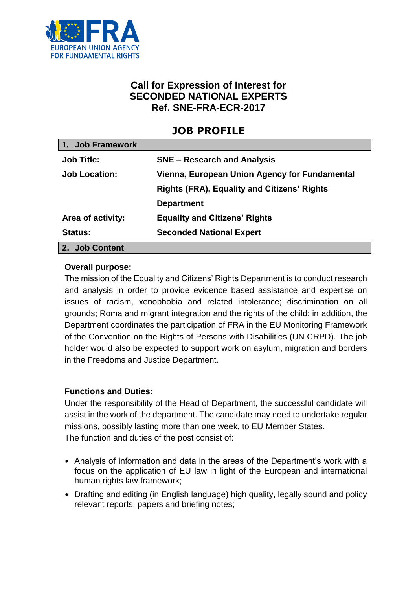

# **Call for Expression of Interest for SECONDED NATIONAL EXPERTS Ref. SNE-FRA-ECR-2017**

# **JOB PROFILE**

| 1. Job Framework     |                                                    |
|----------------------|----------------------------------------------------|
| <b>Job Title:</b>    | <b>SNE – Research and Analysis</b>                 |
| <b>Job Location:</b> | Vienna, European Union Agency for Fundamental      |
|                      | <b>Rights (FRA), Equality and Citizens' Rights</b> |
|                      | <b>Department</b>                                  |
| Area of activity:    | <b>Equality and Citizens' Rights</b>               |
| <b>Status:</b>       | <b>Seconded National Expert</b>                    |
| 2. Job Content       |                                                    |

#### **Overall purpose:**

The mission of the Equality and Citizens' Rights Department is to conduct research and analysis in order to provide evidence based assistance and expertise on issues of racism, xenophobia and related intolerance; discrimination on all grounds; Roma and migrant integration and the rights of the child; in addition, the Department coordinates the participation of FRA in the EU Monitoring Framework of the Convention on the Rights of Persons with Disabilities (UN CRPD). The job holder would also be expected to support work on asylum, migration and borders in the Freedoms and Justice Department.

#### **Functions and Duties:**

Under the responsibility of the Head of Department, the successful candidate will assist in the work of the department. The candidate may need to undertake regular missions, possibly lasting more than one week, to EU Member States. The function and duties of the post consist of:

- Analysis of information and data in the areas of the Department's work with a focus on the application of EU law in light of the European and international human rights law framework;
- Drafting and editing (in English language) high quality, legally sound and policy relevant reports, papers and briefing notes;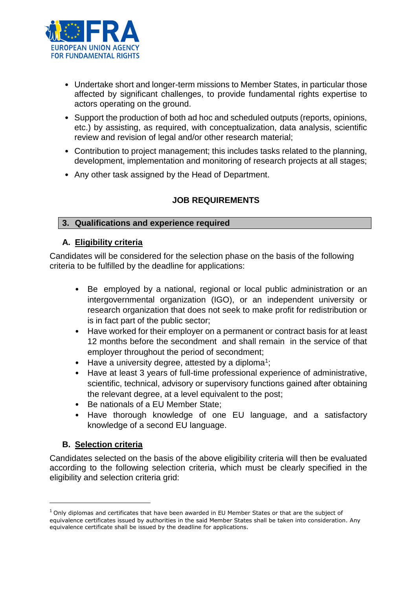

- Undertake short and longer-term missions to Member States, in particular those affected by significant challenges, to provide fundamental rights expertise to actors operating on the ground.
- Support the production of both ad hoc and scheduled outputs (reports, opinions, etc.) by assisting, as required, with conceptualization, data analysis, scientific review and revision of legal and/or other research material;
- Contribution to project management; this includes tasks related to the planning, development, implementation and monitoring of research projects at all stages;
- Any other task assigned by the Head of Department.

# **JOB REQUIREMENTS**

#### **3. Qualifications and experience required**

#### **A. Eligibility criteria**

Candidates will be considered for the selection phase on the basis of the following criteria to be fulfilled by the deadline for applications:

- Be employed by a national, regional or local public administration or an intergovernmental organization (IGO), or an independent university or research organization that does not seek to make profit for redistribution or is in fact part of the public sector;
- Have worked for their employer on a permanent or contract basis for at least 12 months before the secondment and shall remain in the service of that employer throughout the period of secondment;
- $\bullet$  Have a university degree, attested by a diploma<sup>1</sup>;
- Have at least 3 years of full-time professional experience of administrative, scientific, technical, advisory or supervisory functions gained after obtaining the relevant degree, at a level equivalent to the post;
- Be nationals of a EU Member State;
- Have thorough knowledge of one EU language, and a satisfactory knowledge of a second EU language.

### **B. Selection criteria**

 $\overline{a}$ 

Candidates selected on the basis of the above eligibility criteria will then be evaluated according to the following selection criteria, which must be clearly specified in the eligibility and selection criteria grid:

<sup>&</sup>lt;sup>1</sup> Only diplomas and certificates that have been awarded in EU Member States or that are the subject of equivalence certificates issued by authorities in the said Member States shall be taken into consideration. Any equivalence certificate shall be issued by the deadline for applications.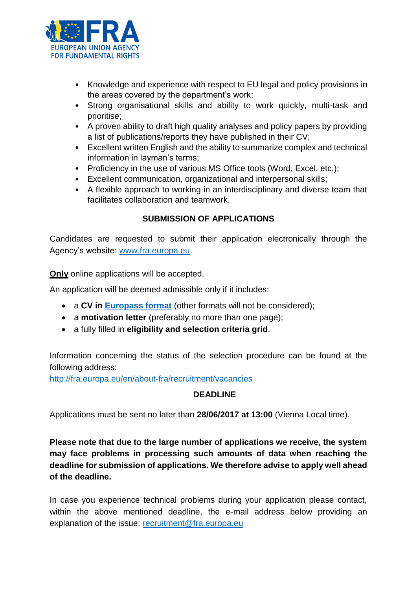

- Knowledge and experience with respect to EU legal and policy provisions in the areas covered by the department's work;
- Strong organisational skills and ability to work quickly, multi-task and prioritise;
- A proven ability to draft high quality analyses and policy papers by providing a list of publications/reports they have published in their CV;
- Excellent written English and the ability to summarize complex and technical information in layman's terms;
- Proficiency in the use of various MS Office tools (Word, Excel, etc.);
- Excellent communication, organizational and interpersonal skills;
- A flexible approach to working in an interdisciplinary and diverse team that facilitates collaboration and teamwork.

# **SUBMISSION OF APPLICATIONS**

Candidates are requested to submit their application electronically through the Agency's website: [www.fra.europa.eu.](http://www.fra.europa.eu/)

**Only** online applications will be accepted.

An application will be deemed admissible only if it includes:

- a **CV in [Europass format](http://europass.cedefop.europa.eu/en/documents/curriculum-vitae/templates-instructions)** (other formats will not be considered);
- a **motivation letter** (preferably no more than one page);
- a fully filled in **eligibility and selection criteria grid**.

Information concerning the status of the selection procedure can be found at the following address:

<http://fra.europa.eu/en/about-fra/recruitment/vacancies>

### **DEADLINE**

Applications must be sent no later than **28/06/2017 at 13:00** (Vienna Local time).

**Please note that due to the large number of applications we receive, the system may face problems in processing such amounts of data when reaching the deadline for submission of applications. We therefore advise to apply well ahead of the deadline.** 

In case you experience technical problems during your application please contact, within the above mentioned deadline, the e-mail address below providing an explanation of the issue: [recruitment@fra.europa.eu](mailto:recruitment@fra.europa.eu)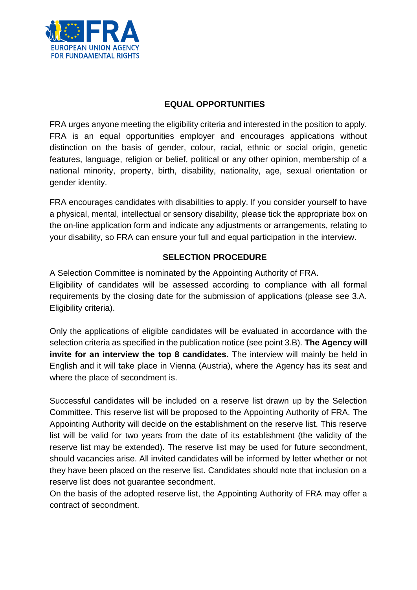

#### **EQUAL OPPORTUNITIES**

FRA urges anyone meeting the eligibility criteria and interested in the position to apply. FRA is an equal opportunities employer and encourages applications without distinction on the basis of gender, colour, racial, ethnic or social origin, genetic features, language, religion or belief, political or any other opinion, membership of a national minority, property, birth, disability, nationality, age, sexual orientation or gender identity.

FRA encourages candidates with disabilities to apply. If you consider yourself to have a physical, mental, intellectual or sensory disability, please tick the appropriate box on the on-line application form and indicate any adjustments or arrangements, relating to your disability, so FRA can ensure your full and equal participation in the interview.

# **SELECTION PROCEDURE**

A Selection Committee is nominated by the Appointing Authority of FRA. Eligibility of candidates will be assessed according to compliance with all formal requirements by the closing date for the submission of applications (please see 3.A. Eligibility criteria).

Only the applications of eligible candidates will be evaluated in accordance with the selection criteria as specified in the publication notice (see point 3.B). **The Agency will invite for an interview the top 8 candidates.** The interview will mainly be held in English and it will take place in Vienna (Austria), where the Agency has its seat and where the place of secondment is.

Successful candidates will be included on a reserve list drawn up by the Selection Committee. This reserve list will be proposed to the Appointing Authority of FRA. The Appointing Authority will decide on the establishment on the reserve list. This reserve list will be valid for two years from the date of its establishment (the validity of the reserve list may be extended). The reserve list may be used for future secondment, should vacancies arise. All invited candidates will be informed by letter whether or not they have been placed on the reserve list. Candidates should note that inclusion on a reserve list does not guarantee secondment.

On the basis of the adopted reserve list, the Appointing Authority of FRA may offer a contract of secondment.